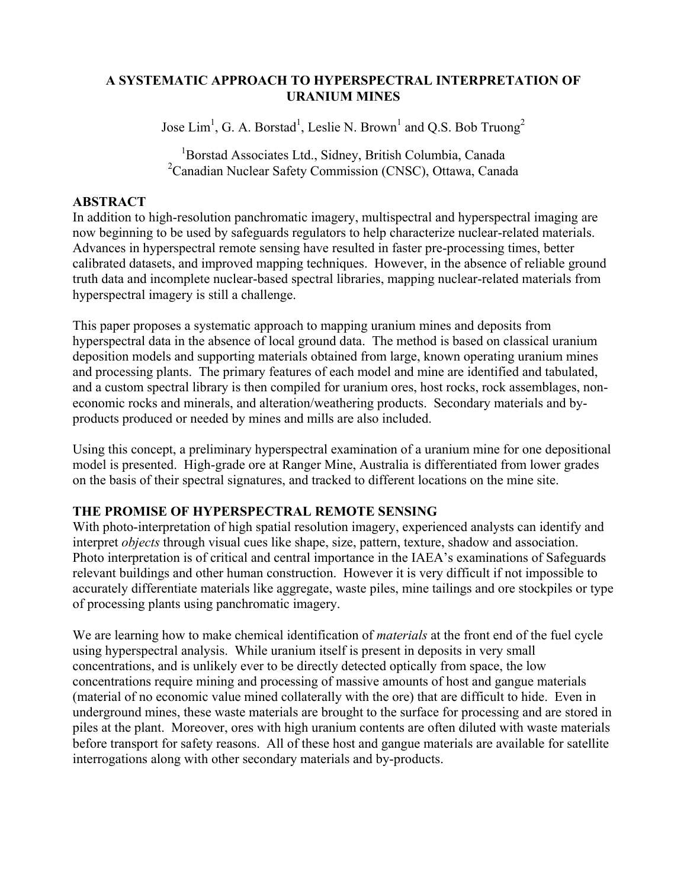#### **A SYSTEMATIC APPROACH TO HYPERSPECTRAL INTERPRETATION OF URANIUM MINES**

Jose  $\text{Lim}^1$ , G. A. Borstad<sup>1</sup>, Leslie N. Brown<sup>1</sup> and Q.S. Bob Truong<sup>2</sup>

<sup>1</sup>Borstad Associates Ltd., Sidney, British Columbia, Canada <sup>2</sup> Canadian Nuclear Safety Commission (CNSC), Ottawa, Canada

# **ABSTRACT**

In addition to high-resolution panchromatic imagery, multispectral and hyperspectral imaging are now beginning to be used by safeguards regulators to help characterize nuclear-related materials. Advances in hyperspectral remote sensing have resulted in faster pre-processing times, better calibrated datasets, and improved mapping techniques. However, in the absence of reliable ground truth data and incomplete nuclear-based spectral libraries, mapping nuclear-related materials from hyperspectral imagery is still a challenge.

This paper proposes a systematic approach to mapping uranium mines and deposits from hyperspectral data in the absence of local ground data. The method is based on classical uranium deposition models and supporting materials obtained from large, known operating uranium mines and processing plants. The primary features of each model and mine are identified and tabulated, and a custom spectral library is then compiled for uranium ores, host rocks, rock assemblages, noneconomic rocks and minerals, and alteration/weathering products. Secondary materials and byproducts produced or needed by mines and mills are also included.

Using this concept, a preliminary hyperspectral examination of a uranium mine for one depositional model is presented. High-grade ore at Ranger Mine, Australia is differentiated from lower grades on the basis of their spectral signatures, and tracked to different locations on the mine site.

# **THE PROMISE OF HYPERSPECTRAL REMOTE SENSING**

With photo-interpretation of high spatial resolution imagery, experienced analysts can identify and interpret *objects* through visual cues like shape, size, pattern, texture, shadow and association. Photo interpretation is of critical and central importance in the IAEA's examinations of Safeguards relevant buildings and other human construction. However it is very difficult if not impossible to accurately differentiate materials like aggregate, waste piles, mine tailings and ore stockpiles or type of processing plants using panchromatic imagery.

We are learning how to make chemical identification of *materials* at the front end of the fuel cycle using hyperspectral analysis. While uranium itself is present in deposits in very small concentrations, and is unlikely ever to be directly detected optically from space, the low concentrations require mining and processing of massive amounts of host and gangue materials (material of no economic value mined collaterally with the ore) that are difficult to hide. Even in underground mines, these waste materials are brought to the surface for processing and are stored in piles at the plant. Moreover, ores with high uranium contents are often diluted with waste materials before transport for safety reasons. All of these host and gangue materials are available for satellite interrogations along with other secondary materials and by-products.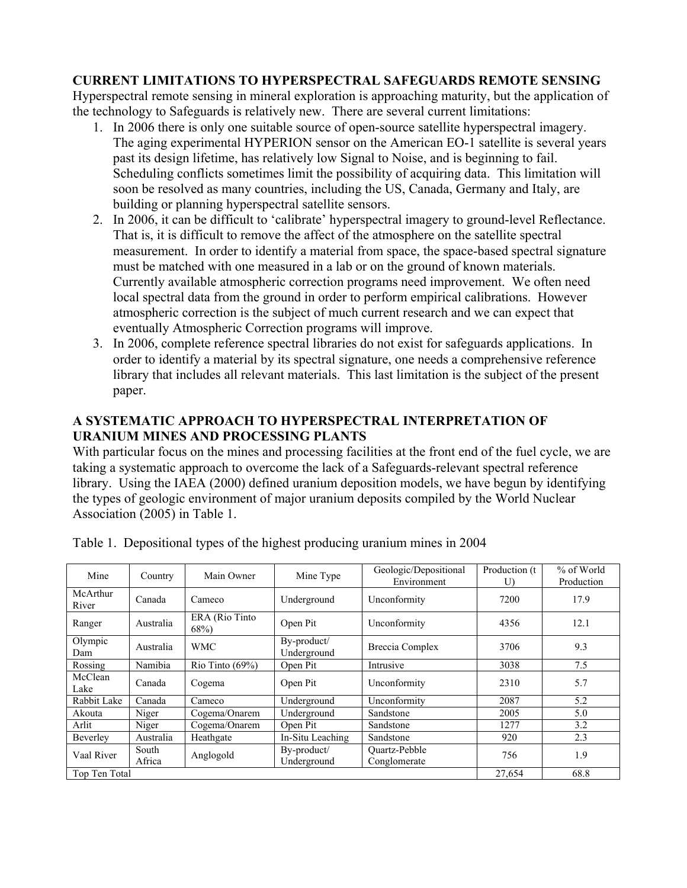# **CURRENT LIMITATIONS TO HYPERSPECTRAL SAFEGUARDS REMOTE SENSING**

Hyperspectral remote sensing in mineral exploration is approaching maturity, but the application of the technology to Safeguards is relatively new. There are several current limitations:

- 1. In 2006 there is only one suitable source of open-source satellite hyperspectral imagery. The aging experimental HYPERION sensor on the American EO-1 satellite is several years past its design lifetime, has relatively low Signal to Noise, and is beginning to fail. Scheduling conflicts sometimes limit the possibility of acquiring data. This limitation will soon be resolved as many countries, including the US, Canada, Germany and Italy, are building or planning hyperspectral satellite sensors.
- 2. In 2006, it can be difficult to 'calibrate' hyperspectral imagery to ground-level Reflectance. That is, it is difficult to remove the affect of the atmosphere on the satellite spectral measurement. In order to identify a material from space, the space-based spectral signature must be matched with one measured in a lab or on the ground of known materials. Currently available atmospheric correction programs need improvement. We often need local spectral data from the ground in order to perform empirical calibrations. However atmospheric correction is the subject of much current research and we can expect that eventually Atmospheric Correction programs will improve.
- 3. In 2006, complete reference spectral libraries do not exist for safeguards applications. In order to identify a material by its spectral signature, one needs a comprehensive reference library that includes all relevant materials. This last limitation is the subject of the present paper.

# **A SYSTEMATIC APPROACH TO HYPERSPECTRAL INTERPRETATION OF URANIUM MINES AND PROCESSING PLANTS**

With particular focus on the mines and processing facilities at the front end of the fuel cycle, we are taking a systematic approach to overcome the lack of a Safeguards-relevant spectral reference library. Using the IAEA (2000) defined uranium deposition models, we have begun by identifying the types of geologic environment of major uranium deposits compiled by the World Nuclear Association (2005) in Table 1.

| Mine              | Country         | Main Owner                 | Mine Type                  | Geologic/Depositional<br>Environment | Production (t)<br>U) | % of World<br>Production |
|-------------------|-----------------|----------------------------|----------------------------|--------------------------------------|----------------------|--------------------------|
| McArthur<br>River | Canada          | Cameco                     | Underground                | Unconformity                         | 7200                 | 17.9                     |
| Ranger            | Australia       | ERA (Rio Tinto)<br>$68\%)$ | Open Pit                   | Unconformity                         | 4356                 | 12.1                     |
| Olympic<br>Dam    | Australia       | <b>WMC</b>                 | By-product/<br>Underground | Breccia Complex                      | 3706                 | 9.3                      |
| Rossing           | Namibia         | Rio Tinto $(69\%)$         | Open Pit                   | Intrusive                            | 3038                 | 7.5                      |
| McClean<br>Lake   | Canada          | Cogema                     | Open Pit                   | Unconformity                         | 2310                 | 5.7                      |
| Rabbit Lake       | Canada          | Cameco                     | Underground                | Unconformity                         | 2087                 | 5.2                      |
| Akouta            | Niger           | Cogema/Onarem              | Underground                | Sandstone                            | 2005                 | 5.0                      |
| Arlit             | Niger           | Cogema/Onarem              | Open Pit                   | Sandstone                            | 1277                 | 3.2                      |
| Beverley          | Australia       | Heathgate                  | In-Situ Leaching           | Sandstone                            | 920                  | 2.3                      |
| Vaal River        | South<br>Africa | Anglogold                  | By-product/<br>Underground | <b>Ouartz-Pebble</b><br>Conglomerate | 756                  | 1.9                      |
| Top Ten Total     |                 |                            |                            |                                      | 27,654               | 68.8                     |

Table 1. Depositional types of the highest producing uranium mines in 2004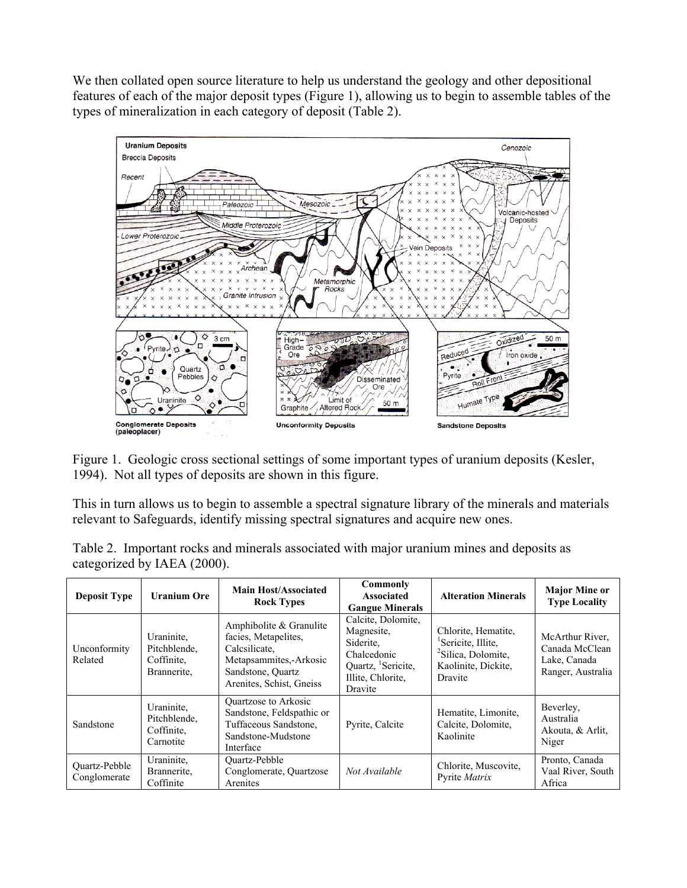We then collated open source literature to help us understand the geology and other depositional features of each of the major deposit types (Figure 1), allowing us to begin to assemble tables of the types of mineralization in each category of deposit (Table 2).



Figure 1. Geologic cross sectional settings of some important types of uranium deposits (Kesler, 1994). Not all types of deposits are shown in this figure.

This in turn allows us to begin to assemble a spectral signature library of the minerals and materials relevant to Safeguards, identify missing spectral signatures and acquire new ones.

| Table 2. Important rocks and minerals associated with major uranium mines and deposits as |  |  |  |
|-------------------------------------------------------------------------------------------|--|--|--|
| categorized by IAEA (2000).                                                               |  |  |  |

| <b>Deposit Type</b>                  | <b>Uranium Ore</b>                                      | <b>Main Host/Associated</b><br><b>Rock Types</b>                                                                                              | Commonly<br><b>Associated</b><br><b>Gangue Minerals</b>                                                           | <b>Alteration Minerals</b>                                                                                                | <b>Major Mine or</b><br><b>Type Locality</b>                           |
|--------------------------------------|---------------------------------------------------------|-----------------------------------------------------------------------------------------------------------------------------------------------|-------------------------------------------------------------------------------------------------------------------|---------------------------------------------------------------------------------------------------------------------------|------------------------------------------------------------------------|
| Unconformity<br>Related              | Uraninite.<br>Pitchblende,<br>Coffinite.<br>Brannerite. | Amphibolite $&$ Granulite<br>facies, Metapelites,<br>Calcsilicate,<br>Metapsammites,-Arkosic<br>Sandstone, Quartz<br>Arenites, Schist, Gneiss | Calcite, Dolomite,<br>Magnesite,<br>Siderite.<br>Chalcedonic<br>Quartz, Sericite,<br>Illite, Chlorite,<br>Dravite | Chlorite, Hematite,<br><sup>1</sup> Sericite, Illite,<br><sup>2</sup> Silica, Dolomite,<br>Kaolinite, Dickite,<br>Dravite | McArthur River,<br>Canada McClean<br>Lake, Canada<br>Ranger, Australia |
| Sandstone                            | Uraninite,<br>Pitchblende,<br>Coffinite.<br>Carnotite   | Quartzose to Arkosic<br>Sandstone, Feldspathic or<br>Tuffaceous Sandstone,<br>Sandstone-Mudstone<br>Interface                                 | Pyrite, Calcite                                                                                                   | Hematite, Limonite,<br>Calcite, Dolomite,<br>Kaolinite                                                                    | Beverley,<br>Australia<br>Akouta, & Arlit,<br>Niger                    |
| <b>Ouartz-Pebble</b><br>Conglomerate | Uraninite,<br>Brannerite.<br>Coffinite                  | <b>Ouartz-Pebble</b><br>Conglomerate, Quartzose<br>Arenites                                                                                   | Not Available                                                                                                     | Chlorite, Muscovite,<br>Pyrite Matrix                                                                                     | Pronto, Canada<br>Vaal River, South<br>Africa                          |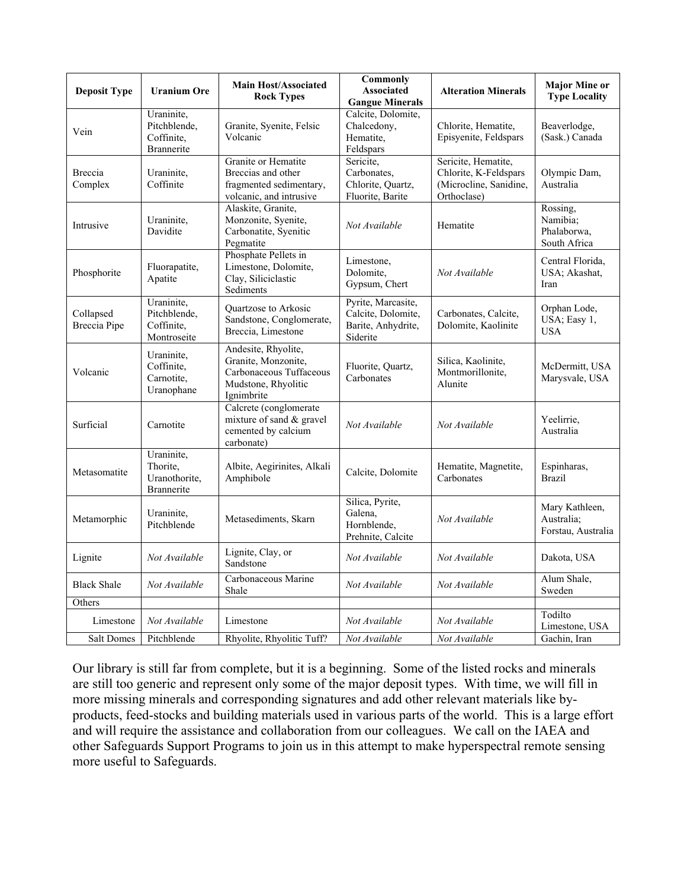| <b>Deposit Type</b>              | <b>Uranium Ore</b>                                           | <b>Main Host/Associated</b><br><b>Rock Types</b>                                                           | <b>Commonly</b><br><b>Associated</b><br><b>Gangue Minerals</b>             | <b>Alteration Minerals</b>                                                            | <b>Major Mine or</b><br><b>Type Locality</b>        |
|----------------------------------|--------------------------------------------------------------|------------------------------------------------------------------------------------------------------------|----------------------------------------------------------------------------|---------------------------------------------------------------------------------------|-----------------------------------------------------|
| Vein                             | Uraninite,<br>Pitchblende,<br>Coffinite,<br>Brannerite       | Granite, Syenite, Felsic<br>Volcanic                                                                       | Calcite, Dolomite,<br>Chalcedony,<br>Hematite,<br>Feldspars                | Chlorite, Hematite,<br>Episyenite, Feldspars                                          | Beaverlodge,<br>(Sask.) Canada                      |
| Breccia<br>Complex               | Uraninite,<br>Coffinite                                      | Granite or Hematite<br>Breccias and other<br>fragmented sedimentary,<br>volcanic, and intrusive            | Sericite,<br>Carbonates,<br>Chlorite, Quartz,<br>Fluorite, Barite          | Sericite, Hematite,<br>Chlorite, K-Feldspars<br>(Microcline, Sanidine,<br>Orthoclase) | Olympic Dam,<br>Australia                           |
| Intrusive                        | Uraninite,<br>Davidite                                       | Alaskite, Granite,<br>Monzonite, Syenite,<br>Carbonatite, Syenitic<br>Pegmatite                            | Not Available                                                              | Hematite                                                                              | Rossing,<br>Namibia;<br>Phalaborwa,<br>South Africa |
| Phosphorite                      | Fluorapatite,<br>Apatite                                     | Phosphate Pellets in<br>Limestone, Dolomite,<br>Clay, Siliciclastic<br>Sediments                           | Limestone,<br>Dolomite,<br>Gypsum, Chert                                   | Not Available                                                                         | Central Florida,<br>USA; Akashat,<br>Iran           |
| Collapsed<br><b>Breccia Pipe</b> | Uraninite,<br>Pitchblende,<br>Coffinite,<br>Montroseite      | Quartzose to Arkosic<br>Sandstone, Conglomerate,<br>Breccia, Limestone                                     | Pyrite, Marcasite,<br>Calcite, Dolomite,<br>Barite, Anhydrite,<br>Siderite | Carbonates, Calcite,<br>Dolomite, Kaolinite                                           | Orphan Lode,<br>USA; Easy 1,<br><b>USA</b>          |
| Volcanic                         | Uraninite,<br>Coffinite,<br>Carnotite,<br>Uranophane         | Andesite, Rhyolite,<br>Granite, Monzonite,<br>Carbonaceous Tuffaceous<br>Mudstone, Rhyolitic<br>Ignimbrite | Fluorite, Quartz,<br>Carbonates                                            | Silica, Kaolinite,<br>Montmorillonite,<br>Alunite                                     | McDermitt, USA<br>Marysvale, USA                    |
| Surficial                        | Carnotite                                                    | Calcrete (conglomerate<br>mixture of sand & gravel<br>cemented by calcium<br>carbonate)                    | Not Available                                                              | Not Available                                                                         | Yeelirrie,<br>Australia                             |
| Metasomatite                     | Uraninite,<br>Thorite,<br>Uranothorite,<br><b>Brannerite</b> | Albite, Aegirinites, Alkali<br>Amphibole                                                                   | Calcite, Dolomite                                                          | Hematite, Magnetite,<br>Carbonates                                                    | Espinharas,<br><b>Brazil</b>                        |
| Metamorphic                      | Uraninite,<br>Pitchblende                                    | Metasediments, Skarn                                                                                       | Silica, Pyrite,<br>Galena.<br>Hornblende,<br>Prehnite, Calcite             | Not Available                                                                         | Mary Kathleen,<br>Australia;<br>Forstau, Australia  |
| Lignite                          | Not Available                                                | Lignite, Clay, or<br>Sandstone                                                                             | Not Available                                                              | Not Available                                                                         | Dakota, USA                                         |
| <b>Black Shale</b>               | Not Available                                                | Carbonaceous Marine<br>Shale                                                                               | Not Available                                                              | Not Available                                                                         | Alum Shale,<br>Sweden                               |
| Others                           |                                                              |                                                                                                            |                                                                            |                                                                                       |                                                     |
| Limestone                        | Not Available                                                | Limestone                                                                                                  | Not Available                                                              | Not Available                                                                         | Todilto<br>Limestone, USA                           |
| Salt Domes                       | Pitchblende                                                  | Rhyolite, Rhyolitic Tuff?                                                                                  | Not Available                                                              | Not Available                                                                         | Gachin, Iran                                        |

Our library is still far from complete, but it is a beginning. Some of the listed rocks and minerals are still too generic and represent only some of the major deposit types. With time, we will fill in more missing minerals and corresponding signatures and add other relevant materials like byproducts, feed-stocks and building materials used in various parts of the world. This is a large effort and will require the assistance and collaboration from our colleagues. We call on the IAEA and other Safeguards Support Programs to join us in this attempt to make hyperspectral remote sensing more useful to Safeguards.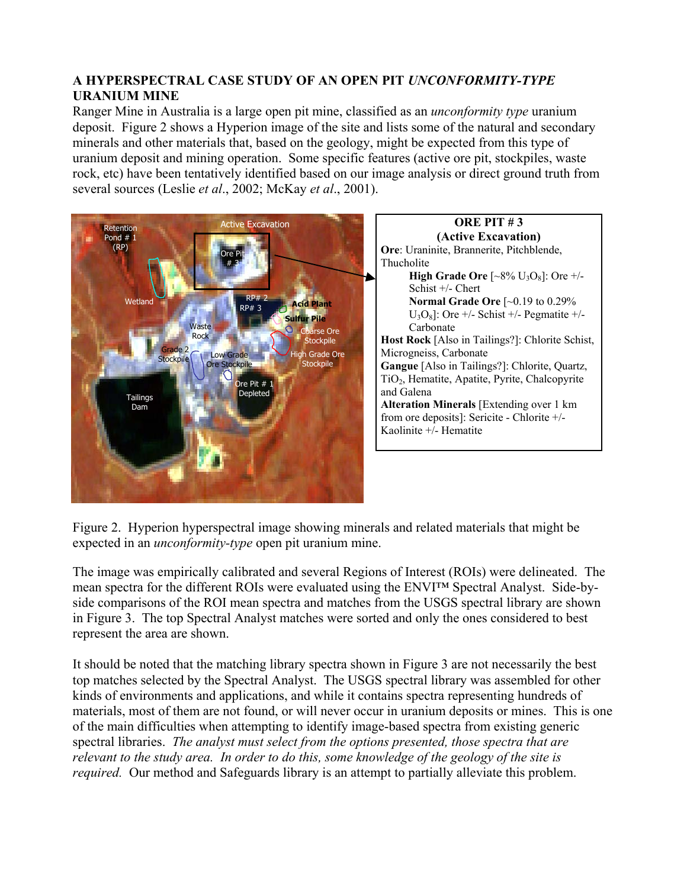# **A HYPERSPECTRAL CASE STUDY OF AN OPEN PIT** *UNCONFORMITY-TYPE* **URANIUM MINE**

Ranger Mine in Australia is a large open pit mine, classified as an *unconformity type* uranium deposit. Figure 2 shows a Hyperion image of the site and lists some of the natural and secondary minerals and other materials that, based on the geology, might be expected from this type of uranium deposit and mining operation. Some specific features (active ore pit, stockpiles, waste rock, etc) have been tentatively identified based on our image analysis or direct ground truth from several sources (Leslie *et al*., 2002; McKay *et al*., 2001).



**ORE PIT # 3 (Active Excavation) Ore**: Uraninite, Brannerite, Pitchblende, **High Grade Ore**  $\left[\sim 8\% \text{ U}_3\text{O}_8\right]$ : Ore  $\neq$ /-Schist +/- Chert **Normal Grade Ore** [~0.19 to 0.29%  $U_3O_8$ ]: Ore +/- Schist +/- Pegmatite +/-Carbonate **Host Rock** [Also in Tailings?]: Chlorite Schist, Microgneiss, Carbonate **Gangue** [Also in Tailings?]: Chlorite, Quartz, TiO<sub>2</sub>, Hematite, Apatite, Pyrite, Chalcopyrite **Alteration Minerals** [Extending over 1 km from ore deposits]: Sericite - Chlorite +/- Kaolinite +/- Hematite

Figure 2. Hyperion hyperspectral image showing minerals and related materials that might be expected in an *unconformity-type* open pit uranium mine.

The image was empirically calibrated and several Regions of Interest (ROIs) were delineated. The mean spectra for the different ROIs were evaluated using the ENVI™ Spectral Analyst. Side-byside comparisons of the ROI mean spectra and matches from the USGS spectral library are shown in Figure 3. The top Spectral Analyst matches were sorted and only the ones considered to best represent the area are shown.

It should be noted that the matching library spectra shown in Figure 3 are not necessarily the best top matches selected by the Spectral Analyst. The USGS spectral library was assembled for other kinds of environments and applications, and while it contains spectra representing hundreds of materials, most of them are not found, or will never occur in uranium deposits or mines. This is one of the main difficulties when attempting to identify image-based spectra from existing generic spectral libraries. *The analyst must select from the options presented, those spectra that are relevant to the study area. In order to do this, some knowledge of the geology of the site is required.* Our method and Safeguards library is an attempt to partially alleviate this problem.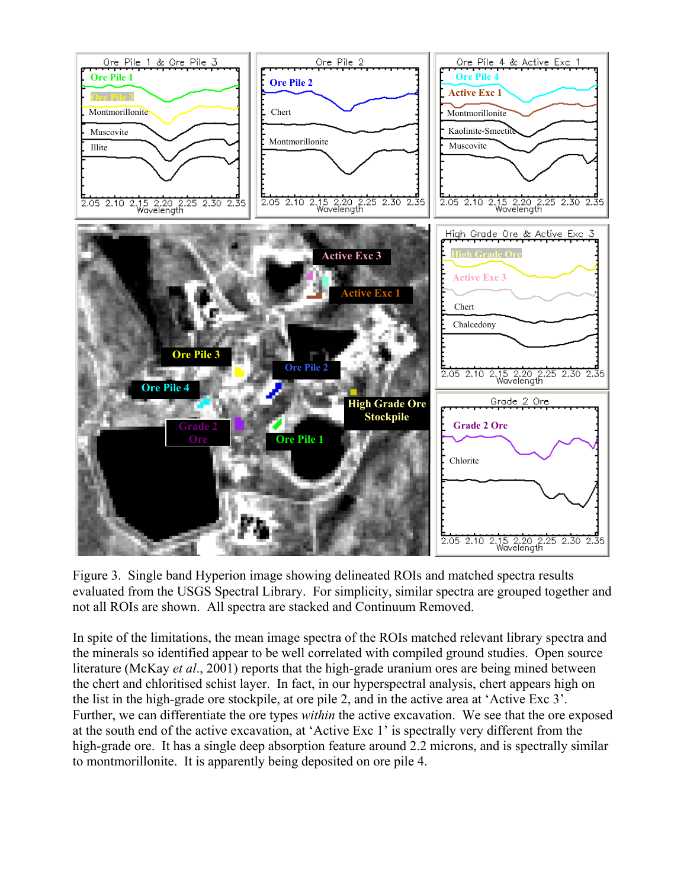

Figure 3. Single band Hyperion image showing delineated ROIs and matched spectra results evaluated from the USGS Spectral Library. For simplicity, similar spectra are grouped together and not all ROIs are shown. All spectra are stacked and Continuum Removed.

In spite of the limitations, the mean image spectra of the ROIs matched relevant library spectra and the minerals so identified appear to be well correlated with compiled ground studies. Open source literature (McKay *et al*., 2001) reports that the high-grade uranium ores are being mined between the chert and chloritised schist layer. In fact, in our hyperspectral analysis, chert appears high on the list in the high-grade ore stockpile, at ore pile 2, and in the active area at 'Active Exc 3'. Further, we can differentiate the ore types *within* the active excavation. We see that the ore exposed at the south end of the active excavation, at 'Active Exc 1' is spectrally very different from the high-grade ore. It has a single deep absorption feature around 2.2 microns, and is spectrally similar to montmorillonite. It is apparently being deposited on ore pile 4.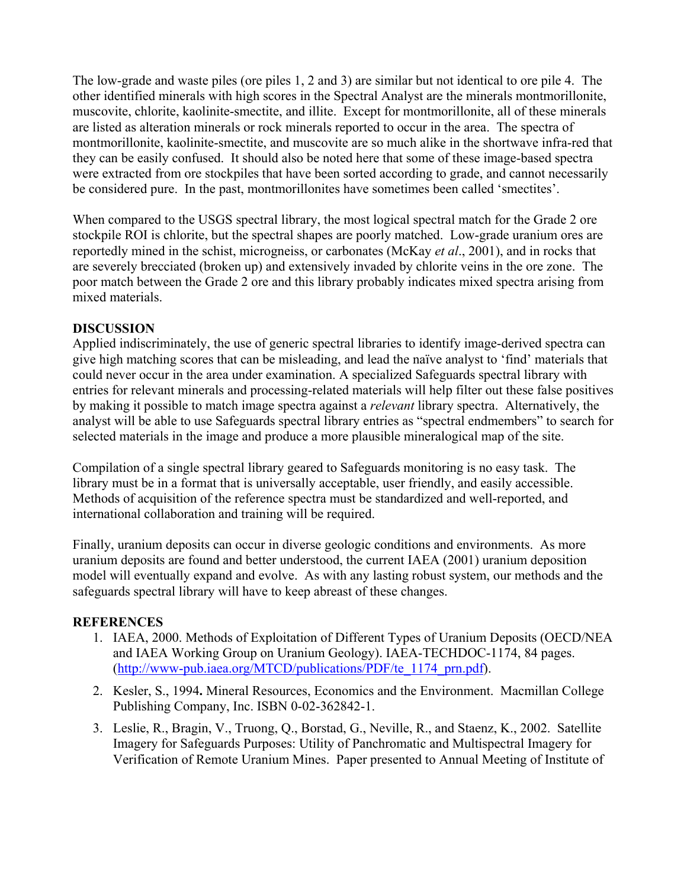The low-grade and waste piles (ore piles 1, 2 and 3) are similar but not identical to ore pile 4. The other identified minerals with high scores in the Spectral Analyst are the minerals montmorillonite, muscovite, chlorite, kaolinite-smectite, and illite. Except for montmorillonite, all of these minerals are listed as alteration minerals or rock minerals reported to occur in the area. The spectra of montmorillonite, kaolinite-smectite, and muscovite are so much alike in the shortwave infra-red that they can be easily confused. It should also be noted here that some of these image-based spectra were extracted from ore stockpiles that have been sorted according to grade, and cannot necessarily be considered pure. In the past, montmorillonites have sometimes been called 'smectites'.

When compared to the USGS spectral library, the most logical spectral match for the Grade 2 ore stockpile ROI is chlorite, but the spectral shapes are poorly matched. Low-grade uranium ores are reportedly mined in the schist, microgneiss, or carbonates (McKay *et al*., 2001), and in rocks that are severely brecciated (broken up) and extensively invaded by chlorite veins in the ore zone. The poor match between the Grade 2 ore and this library probably indicates mixed spectra arising from mixed materials.

# **DISCUSSION**

Applied indiscriminately, the use of generic spectral libraries to identify image-derived spectra can give high matching scores that can be misleading, and lead the naïve analyst to 'find' materials that could never occur in the area under examination. A specialized Safeguards spectral library with entries for relevant minerals and processing-related materials will help filter out these false positives by making it possible to match image spectra against a *relevant* library spectra. Alternatively, the analyst will be able to use Safeguards spectral library entries as "spectral endmembers" to search for selected materials in the image and produce a more plausible mineralogical map of the site.

Compilation of a single spectral library geared to Safeguards monitoring is no easy task. The library must be in a format that is universally acceptable, user friendly, and easily accessible. Methods of acquisition of the reference spectra must be standardized and well-reported, and international collaboration and training will be required.

Finally, uranium deposits can occur in diverse geologic conditions and environments. As more uranium deposits are found and better understood, the current IAEA (2001) uranium deposition model will eventually expand and evolve. As with any lasting robust system, our methods and the safeguards spectral library will have to keep abreast of these changes.

# **REFERENCES**

- 1. IAEA, 2000. Methods of Exploitation of Different Types of Uranium Deposits (OECD/NEA and IAEA Working Group on Uranium Geology). IAEA-TECHDOC-1174, 84 pages. ([http://www-pub.iaea.org/MTCD/publications/PDF/te\\_1174\\_prn.pdf](http://www-pub.iaea.org/MTCD/publications/PDF/te_1174_prn.pdf)).
- 2. Kesler, S., 1994**.** Mineral Resources, Economics and the Environment. Macmillan College Publishing Company, Inc. ISBN 0-02-362842-1.
- 3. Leslie, R., Bragin, V., Truong, Q., Borstad, G., Neville, R., and Staenz, K., 2002. Satellite Imagery for Safeguards Purposes: Utility of Panchromatic and Multispectral Imagery for Verification of Remote Uranium Mines. Paper presented to Annual Meeting of Institute of